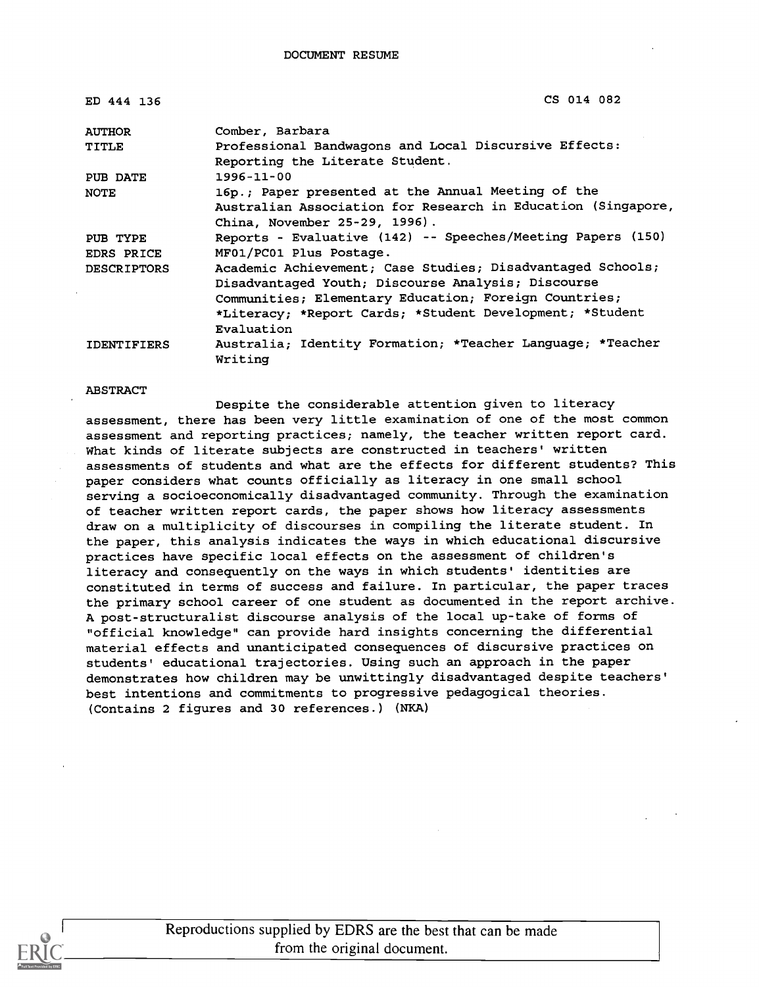| ED 444 136         | CS 014 082                                                            |
|--------------------|-----------------------------------------------------------------------|
| AUTHOR             | Comber, Barbara                                                       |
| TITLE              | Professional Bandwagons and Local Discursive Effects:                 |
|                    | Reporting the Literate Student.                                       |
| PUB DATE           | $1996 - 11 - 00$                                                      |
| <b>NOTE</b>        | 16p.; Paper presented at the Annual Meeting of the                    |
|                    | Australian Association for Research in Education (Singapore,          |
|                    | China, November 25-29, 1996).                                         |
| PUB TYPE           | Reports - Evaluative (142) -- Speeches/Meeting Papers (150)           |
| EDRS PRICE         | MF01/PC01 Plus Postage.                                               |
| <b>DESCRIPTORS</b> | Academic Achievement; Case Studies; Disadvantaged Schools;            |
|                    | Disadvantaged Youth; Discourse Analysis; Discourse                    |
|                    | Communities; Elementary Education; Foreign Countries;                 |
|                    | *Literacy; *Report Cards; *Student Development; *Student              |
|                    | Evaluation                                                            |
| <b>IDENTIFIERS</b> | Australia; Identity Formation; *Teacher Language; *Teacher<br>Writing |

ABSTRACT

Despite the considerable attention given to literacy assessment, there has been very little examination of one of the most common assessment and reporting practices; namely, the teacher written report card. What kinds of literate subjects are constructed in teachers' written assessments of students and what are the effects for different students? This paper considers what counts officially as literacy in one small school serving a socioeconomically disadvantaged community. Through the examination of teacher written report cards, the paper shows how literacy assessments draw on a multiplicity of discourses in compiling the literate student. In the paper, this analysis indicates the ways in which educational discursive practices have specific local effects on the assessment of children's literacy and consequently on the ways in which students' identities are constituted in terms of success and failure. In particular, the paper traces the primary school career of one student as documented in the report archive. A post-structuralist discourse analysis of the local up-take of forms of "official knowledge" can provide hard insights concerning the differential material effects and unanticipated consequences of discursive practices on students' educational trajectories. Using such an approach in the paper demonstrates how children may be unwittingly disadvantaged despite teachers' best intentions and commitments to progressive pedagogical theories. (Contains 2 figures and 30 references.) (NKA)

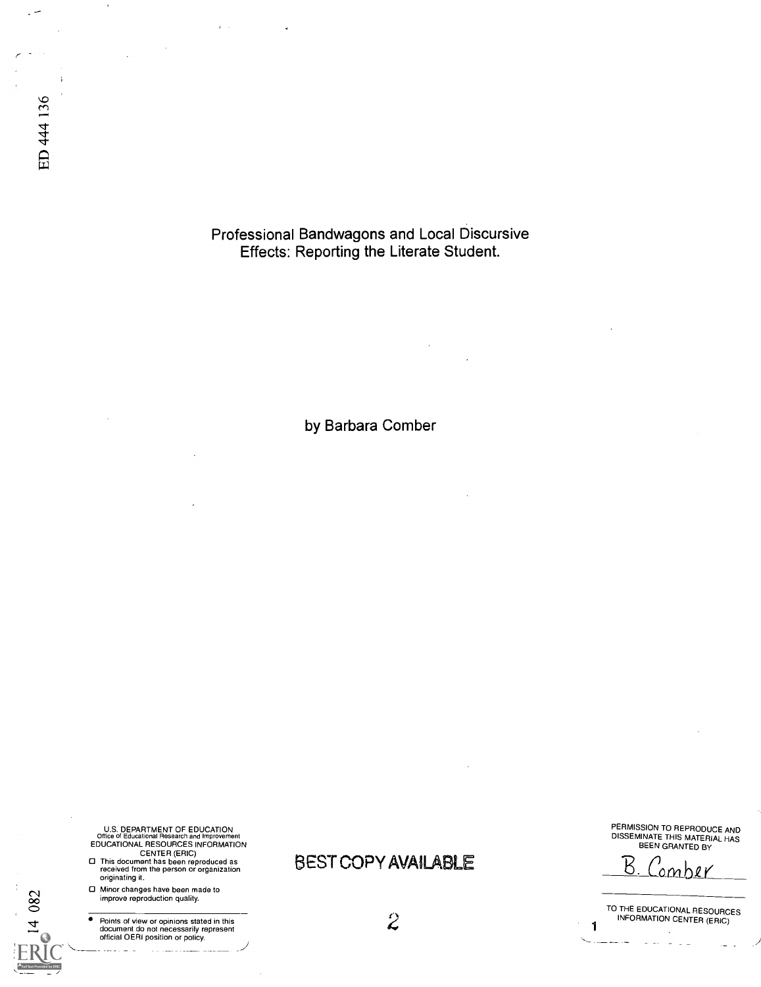### Professional Bandwagons and Local Discursive Effects: Reporting the Literate Student.

by Barbara Comber

U.S. DEPARTMENT OF EDUCATION Office of Educational Research and Improvement EDUCATIONAL RESOURCES INFORMATION

- CENTER (ERIC) This document has been reproduced as received from the person or organization originating it.
- CA Minor changes have been made to<br>
improve reproduction quality.<br>  $\overline{C}$ <br>  $\overline{C}$ <br>  $\overline{C}$ <br>  $\overline{C}$ <br>  $\overline{C}$ <br>  $\overline{C}$ <br>  $\overline{C}$ <br>  $\overline{C}$ <br>  $\overline{C}$ <br>  $\overline{C}$ <br>  $\overline{C}$ <br>  $\overline{C}$ <br>  $\overline{C}$ <br>  $\overline{C}$ <br>  $\overline{C}$ <br>  $\overline$ improve reproduction quality.<br>  $\begin{array}{c}\n\hline\n\end{array}\n\qquad\n\begin{array}{c}\n\hline\n\end{array}\n\qquad\n\begin{array}{c}\n\hline\n\end{array}\n\qquad\n\begin{array}{c}\n\hline\n\end{array}\n\qquad\n\begin{array}{c}\n\hline\n\end{array}\n\qquad\n\begin{array}{c}\n\hline\n\end{array}\n\qquad\n\begin{array}{c}\n\hline\n\end{array}\n\qquad\n\begin{array}{c}\n\hline\n\end{array}\n\qquad\n\begin{array}{c}\n\hline\n\$

 $\sim$ 

T<br>The document do not necessarily represent<br>Official OERI position or policy.

BEST COPY AVAILABLE

PERMISSION TO REPRODUCE AND<br>DISSEMINATE THIS MATERIAL HAS<br>BEEN GRANTED BY

B. Comber

TO THE EDUCATIONAL RESOURCES INFORMATION CENTER (ERIC)

1

C.4 \\_ \_\_\_\_\_\_\_ \_\_\_\_ \_..)

 $\hat{z}$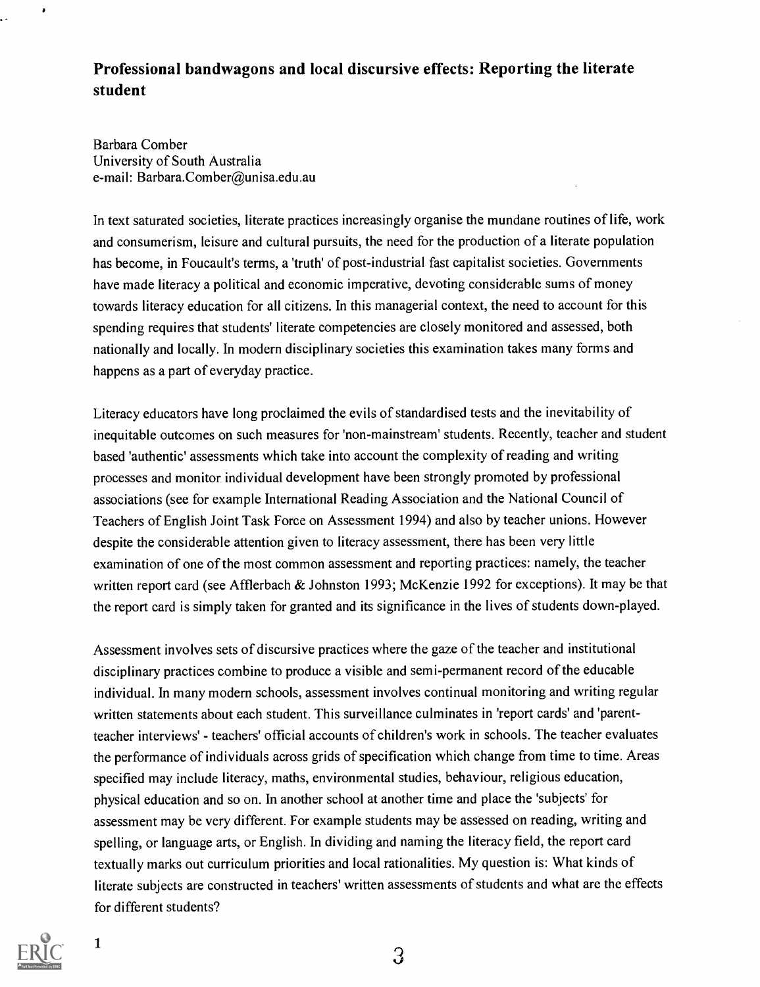## Professional bandwagons and local discursive effects: Reporting the literate student

Barbara Comber University of South Australia e-mail: Barbara.Comber@unisa.edu.au

In text saturated societies, literate practices increasingly organise the mundane routines of life, work and consumerism, leisure and cultural pursuits, the need for the production of a literate population has become, in Foucault's terms, a 'truth' of post-industrial fast capitalist societies. Governments have made literacy a political and economic imperative, devoting considerable sums of money towards literacy education for all citizens. In this managerial context, the need to account for this spending requires that students' literate competencies are closely monitored and assessed, both nationally and locally. In modern disciplinary societies this examination takes many forms and happens as a part of everyday practice.

Literacy educators have long proclaimed the evils of standardised tests and the inevitability of inequitable outcomes on such measures for 'non-mainstream' students. Recently, teacher and student based 'authentic' assessments which take into account the complexity of reading and writing processes and monitor individual development have been strongly promoted by professional associations (see for example International Reading Association and the National Council of Teachers of English Joint Task Force on Assessment 1994) and also by teacher unions. However despite the considerable attention given to literacy assessment, there has been very little examination of one of the most common assessment and reporting practices: namely, the teacher written report card (see Afflerbach & Johnston 1993; McKenzie 1992 for exceptions). It may be that the report card is simply taken for granted and its significance in the lives of students down-played.

Assessment involves sets of discursive practices where the gaze of the teacher and institutional disciplinary practices combine to produce a visible and semi-permanent record of the educable individual. In many modern schools, assessment involves continual monitoring and writing regular written statements about each student. This surveillance culminates in 'report cards' and 'parentteacher interviews' - teachers' official accounts of children's work in schools. The teacher evaluates the performance of individuals across grids of specification which change from time to time. Areas specified may include literacy, maths, environmental studies, behaviour, religious education, physical education and so on. In another school at another time and place the 'subjects' for assessment may be very different. For example students may be assessed on reading, writing and spelling, or language arts, or English. In dividing and naming the literacy field, the report card textually marks out curriculum priorities and local rationalities. My question is: What kinds of literate subjects are constructed in teachers' written assessments of students and what are the effects for different students?



ì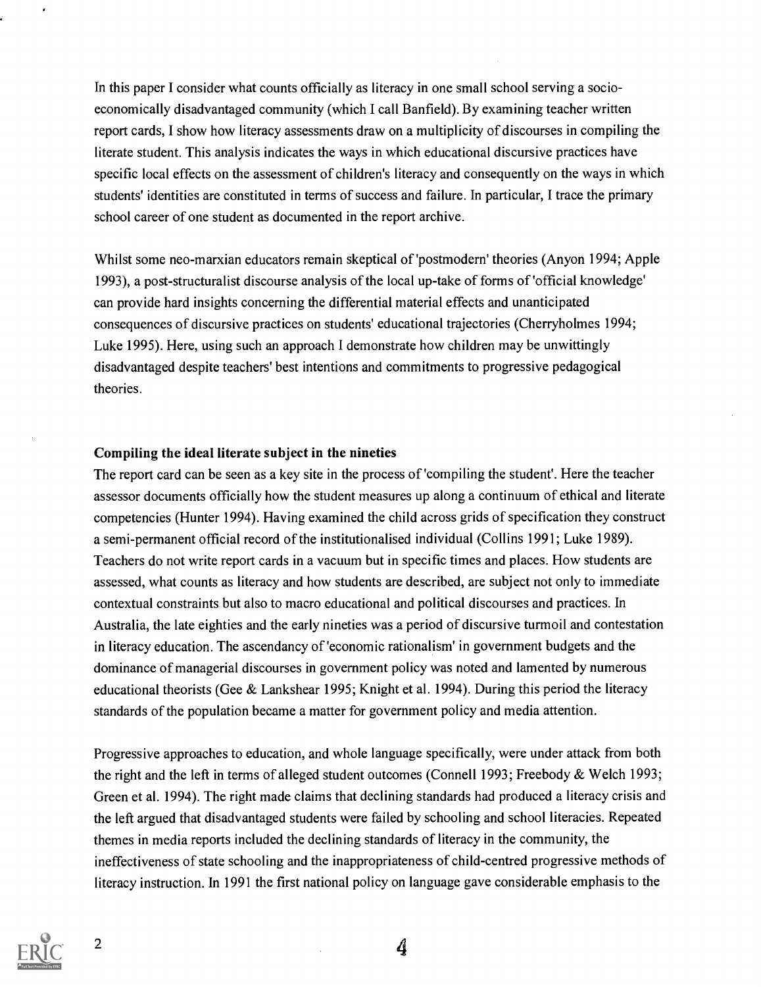In this paper I consider what counts officially as literacy in one small school serving a socioeconomically disadvantaged community (which I call Banfield). By examining teacher written report cards, I show how literacy assessments draw on a multiplicity of discourses in compiling the literate student. This analysis indicates the ways in which educational discursive practices have specific local effects on the assessment of children's literacy and consequently on the ways in which students' identities are constituted in terms of success and failure. In particular, I trace the primary school career of one student as documented in the report archive.

Whilst some neo-marxian educators remain skeptical of 'postmodern' theories (Anyon 1994; Apple 1993), a post-structuralist discourse analysis of the local up-take of forms of 'official knowledge' can provide hard insights concerning the differential material effects and unanticipated consequences of discursive practices on students' educational trajectories (Cherryholmes 1994; Luke 1995). Here, using such an approach I demonstrate how children may be unwittingly disadvantaged despite teachers' best intentions and commitments to progressive pedagogical theories.

#### Compiling the ideal literate subject in the nineties

The report card can be seen as a key site in the process of 'compiling the student'. Here the teacher assessor documents officially how the student measures up along a continuum of ethical and literate competencies (Hunter 1994). Having examined the child across grids of specification they construct a semi-permanent official record of the institutionalised individual (Collins 1991; Luke 1989). Teachers do not write report cards in a vacuum but in specific times and places. How students are assessed, what counts as literacy and how students are described, are subject not only to immediate contextual constraints but also to macro educational and political discourses and practices. In Australia, the late eighties and the early nineties was a period of discursive turmoil and contestation in literacy education. The ascendancy of 'economic rationalism' in government budgets and the dominance of managerial discourses in government policy was noted and lamented by numerous educational theorists (Gee & Lankshear 1995; Knight et al. 1994). During this period the literacy standards of the population became a matter for government policy and media attention.

Progressive approaches to education, and whole language specifically, were under attack from both the right and the left in terms of alleged student outcomes (Connell 1993; Freebody & Welch 1993; Green et al. 1994). The right made claims that declining standards had produced a literacy crisis and the left argued that disadvantaged students were failed by schooling and school literacies. Repeated themes in media reports included the declining standards of literacy in the community, the ineffectiveness of state schooling and the inappropriateness of child-centred progressive methods of literacy instruction. In 1991 the first national policy on language gave considerable emphasis to the



2 and  $\overline{4}$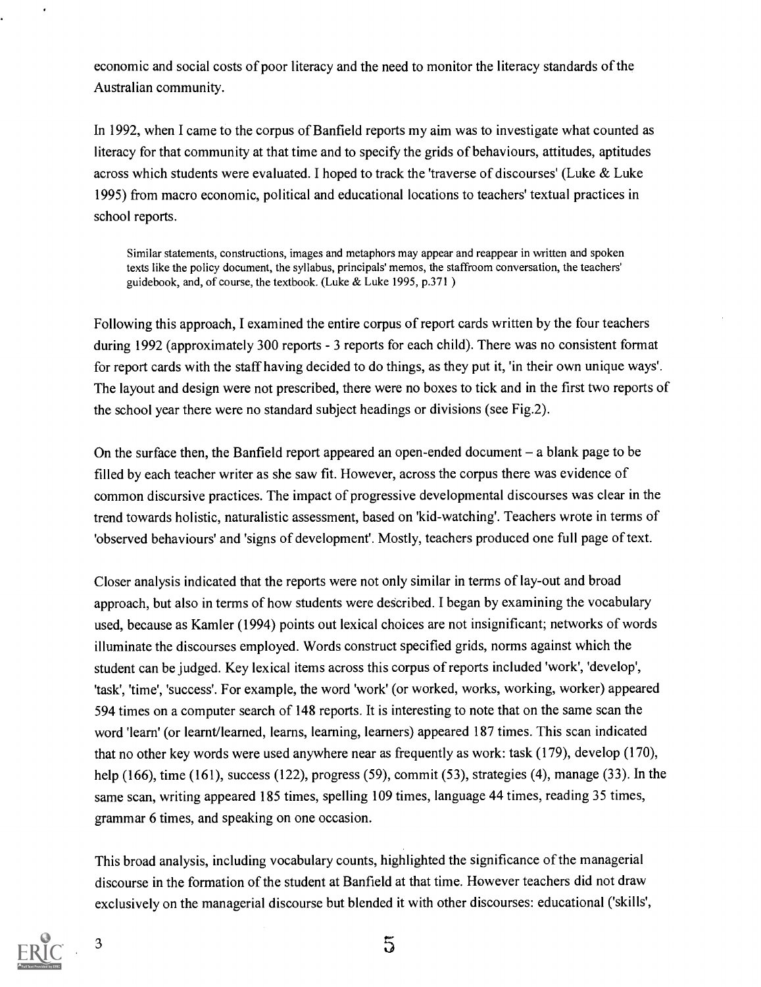economic and social costs of poor literacy and the need to monitor the literacy standards of the Australian community.

In 1992, when I came to the corpus of Banfield reports my aim was to investigate what counted as literacy for that community at that time and to specify the grids of behaviours, attitudes, aptitudes across which students were evaluated. I hoped to track the 'traverse of discourses' (Luke  $\&$  Luke 1995) from macro economic, political and educational locations to teachers' textual practices in school reports.

Similar statements, constructions, images and metaphors may appear and reappear in written and spoken texts like the policy document, the syllabus, principals' memos, the staffroom conversation, the teachers' guidebook, and, of course, the textbook. (Luke & Luke 1995, p.371 )

Following this approach, I examined the entire corpus of report cards written by the four teachers during 1992 (approximately 300 reports - 3 reports for each child). There was no consistent format for report cards with the staff having decided to do things, as they put it, 'in their own unique ways'. The layout and design were not prescribed, there were no boxes to tick and in the first two reports of the school year there were no standard subject headings or divisions (see Fig.2).

On the surface then, the Banfield report appeared an open-ended document  $-$  a blank page to be filled by each teacher writer as she saw fit. However, across the corpus there was evidence of common discursive practices. The impact of progressive developmental discourses was clear in the trend towards holistic, naturalistic assessment, based on 'kid-watching'. Teachers wrote in terms of 'observed behaviours' and 'signs of development'. Mostly, teachers produced one full page of text.

Closer analysis indicated that the reports were not only similar in terms of lay-out and broad approach, but also in terms of how students were described. I began by examining the vocabulary used, because as Kamler (1994) points out lexical choices are not insignificant; networks of words illuminate the discourses employed. Words construct specified grids, norms against which the student can be judged. Key lexical items across this corpus of reports included 'work', 'develop', 'task', 'time', 'success'. For example, the word 'work' (or worked, works, working, worker) appeared 594 times on a computer search of 148 reports. It is interesting to note that on the same scan the word 'learn' (or learnt/learned, learns, learning, learners) appeared 187 times. This scan indicated that no other key words were used anywhere near as frequently as work: task (179), develop (170), help (166), time (161), success (122), progress (59), commit (53), strategies (4), manage (33). In the same scan, writing appeared 185 times, spelling 109 times, language 44 times, reading 35 times, grammar 6 times, and speaking on one occasion.

This broad analysis, including vocabulary counts, highlighted the significance of the managerial discourse in the formation of the student at Banfield at that time. However teachers did not draw exclusively on the managerial discourse but blended it with other discourses: educational ('skills',

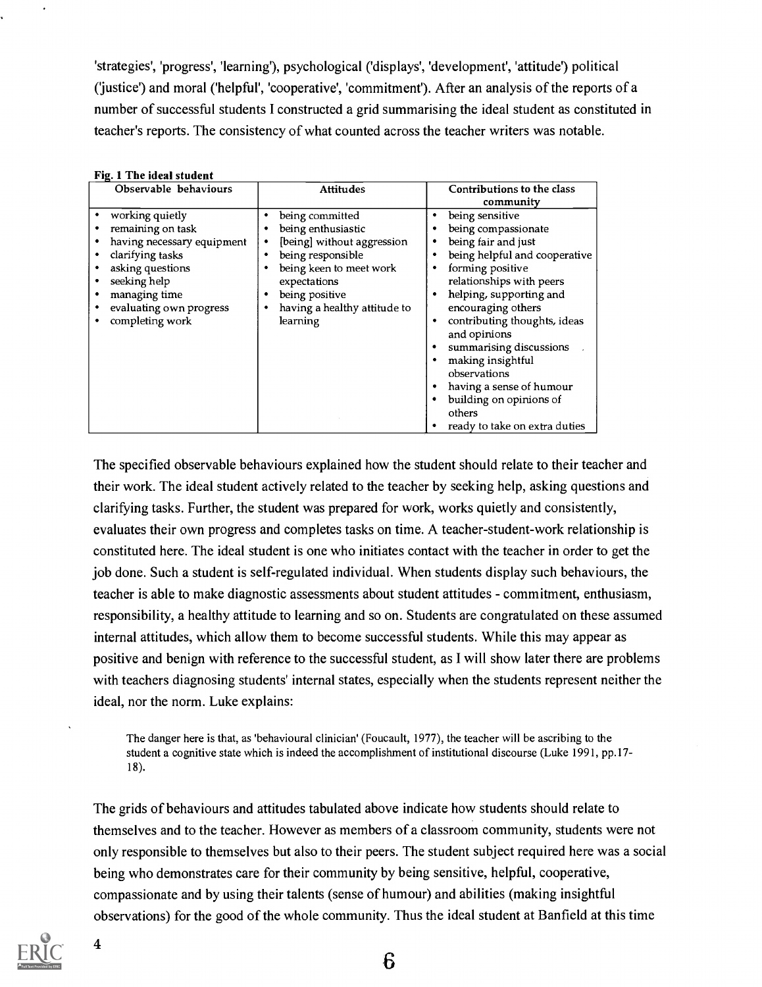'strategies', 'progress', 'learning'), psychological ('displays', 'development', 'attitude') political ('justice') and moral ('helpful', 'cooperative', 'commitment'). After an analysis of the reports of a number of successful students I constructed a grid summarising the ideal student as constituted in teacher's reports. The consistency of what counted across the teacher writers was notable.

| Observable behaviours                                                                                                                                                                     | Attitudes                                                                                                                                                                                              | Contributions to the class<br>community                                                                                                                                                                                                                                                                                                                                                                           |
|-------------------------------------------------------------------------------------------------------------------------------------------------------------------------------------------|--------------------------------------------------------------------------------------------------------------------------------------------------------------------------------------------------------|-------------------------------------------------------------------------------------------------------------------------------------------------------------------------------------------------------------------------------------------------------------------------------------------------------------------------------------------------------------------------------------------------------------------|
| working quietly<br>remaining on task<br>having necessary equipment<br>clarifying tasks<br>asking questions<br>seeking help<br>managing time<br>evaluating own progress<br>completing work | being committed<br>being enthusiastic<br>[being] without aggression<br>٠<br>being responsible<br>being keen to meet work<br>expectations<br>being positive<br>having a healthy attitude to<br>learning | being sensitive<br>being compassionate<br>being fair and just<br>being helpful and cooperative<br>forming positive<br>relationships with peers<br>helping, supporting and<br>encouraging others<br>contributing thoughts, ideas<br>and opinions<br>summarising discussions<br>making insightful<br>observations<br>having a sense of humour<br>building on opinions of<br>others<br>ready to take on extra duties |

| Fig. 1 The ideal student |  |
|--------------------------|--|
|--------------------------|--|

The specified observable behaviours explained how the student should relate to their teacher and their work. The ideal student actively related to the teacher by seeking help, asking questions and clarifying tasks. Further, the student was prepared for work, works quietly and consistently, evaluates their own progress and completes tasks on time. A teacher-student-work relationship is constituted here. The ideal student is one who initiates contact with the teacher in order to get the job done. Such a student is self-regulated individual. When students display such behaviours, the teacher is able to make diagnostic assessments about student attitudes - commitment, enthusiasm, responsibility, a healthy attitude to learning and so on. Students are congratulated on these assumed internal attitudes, which allow them to become successful students. While this may appear as positive and benign with reference to the successful student, as I will show later there are problems with teachers diagnosing students' internal states, especially when the students represent neither the ideal, nor the norm. Luke explains:

The danger here is that, as 'behavioural clinician' (Foucault, 1977), the teacher will be ascribing to the student a cognitive state which is indeed the accomplishment of institutional discourse (Luke 1991, pp.17- 18).

The grids of behaviours and attitudes tabulated above indicate how students should relate to themselves and to the teacher. However as members of a classroom community, students were not only responsible to themselves but also to their peers. The student subject required here was a social being who demonstrates care for their community by being sensitive, helpful, cooperative, compassionate and by using their talents (sense of humour) and abilities (making insightful observations) for the good of the whole community. Thus the ideal student at Banfield at this time



4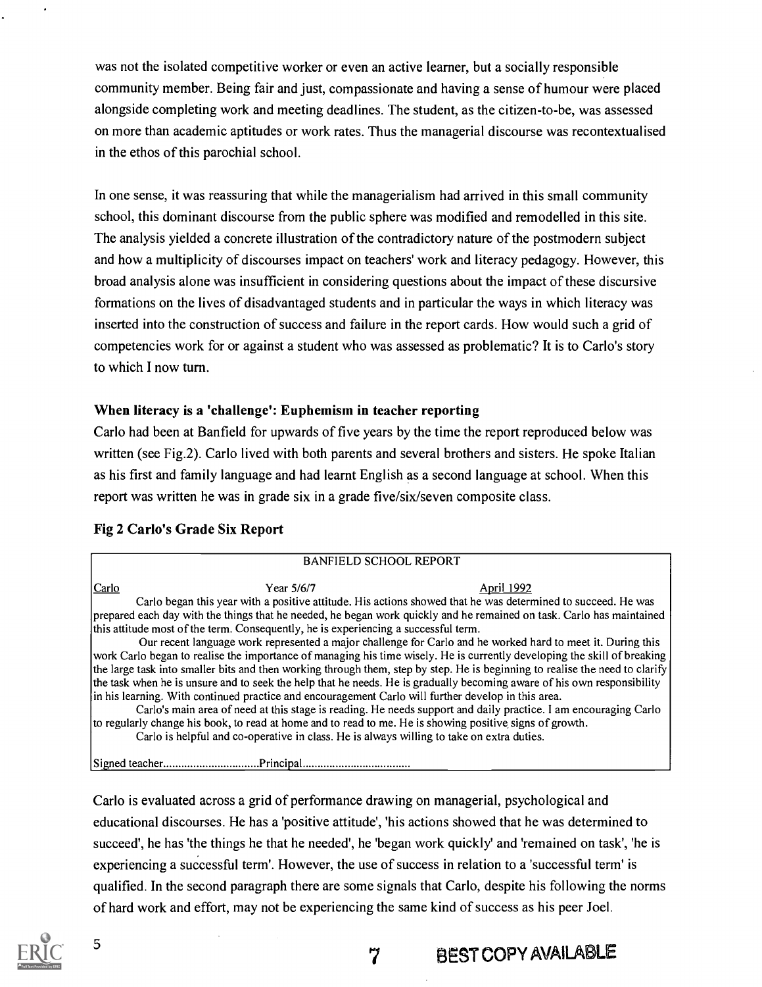was not the isolated competitive worker or even an active learner, but a socially responsible community member. Being fair and just, compassionate and having a sense of humour were placed alongside completing work and meeting deadlines. The student, as the citizen-to-be, was assessed on more than academic aptitudes or work rates. Thus the managerial discourse was recontextualised in the ethos of this parochial school.

In one sense, it was reassuring that while the managerialism had arrived in this small community school, this dominant discourse from the public sphere was modified and remodelled in this site. The analysis yielded a concrete illustration of the contradictory nature of the postmodern subject and how a multiplicity of discourses impact on teachers' work and literacy pedagogy. However, this broad analysis alone was insufficient in considering questions about the impact of these discursive formations on the lives of disadvantaged students and in particular the ways in which literacy was inserted into the construction of success and failure in the report cards. How would such a grid of competencies work for or against a student who was assessed as problematic? It is to Carlo's story to which I now turn.

#### When literacy is a 'challenge': Euphemism in teacher reporting

Carlo had been at Banfield for upwards of five years by the time the report reproduced below was written (see Fig.2). Carlo lived with both parents and several brothers and sisters. He spoke Italian as his first and family language and had learnt English as a second language at school. When this report was written he was in grade six in a grade five/six/seven composite class.

#### Fig 2 Carlo's Grade Six Report

BANFIELD SCHOOL REPORT Carlo Carlo Xear 5/6/7 April 1992 Carlo began this year with a positive attitude. His actions showed that he was determined to succeed. He was prepared each day with the things that he needed, he began work quickly and he remained on task. Carlo has maintained this attitude most of the term. Consequently, he is experiencing a successful term. Our recent language work represented a major challenge for Carlo and he worked hard to meet it. During this work Carlo began to realise the importance of managing his time wisely. He is currently developing the skill of breaking the large task into smaller bits and then working through them, step by step. He is beginning to realise the need to clarify the task when he is unsure and to seek the help that he needs. He is gradually becoming aware of his own responsibility in his learning. With continued practice and encouragement Carlo will further develop in this area. Carlo's main area of need at this stage is reading. He needs support and daily practice. I am encouraging Carlo to regularly change his book, to read at home and to read to me. He is showing positive, signs of growth. Carlo is helpful and co-operative in class. He is always willing to take on extra duties. Signed teacher Principal

Carlo is evaluated across a grid of performance drawing on managerial, psychological and educational discourses. He has a 'positive attitude', 'his actions showed that he was determined to succeed', he has 'the things he that he needed', he 'began work quickly' and 'remained on task', 'he is experiencing a successful term'. However, the use of success in relation to a 'successful term' is qualified. In the second paragraph there are some signals that Carlo, despite his following the norms of hard work and effort, may not be experiencing the same kind of success as his peer Joel.

7 BEST COPY AVAILABLE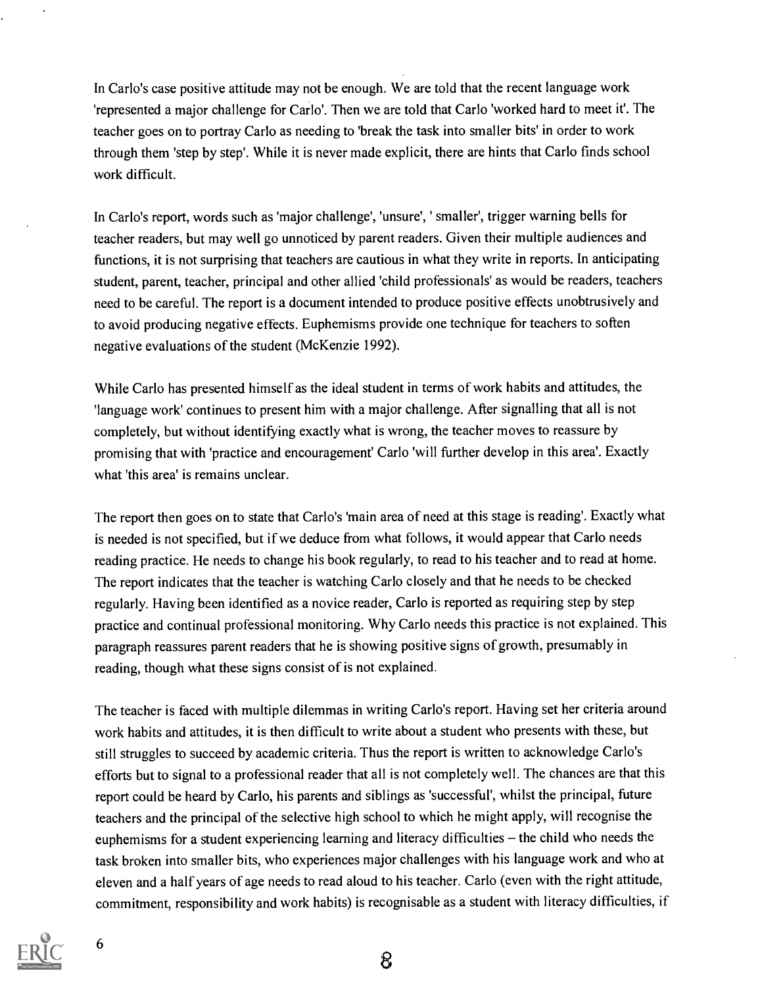In Carlo's case positive attitude may not be enough. We are told that the recent language work 'represented a major challenge for Carlo'. Then we are told that Carlo 'worked hard to meet it'. The teacher goes on to portray Carlo as needing to 'break the task into smaller bits' in order to work through them 'step by step'. While it is never made explicit, there are hints that Carlo finds school work difficult.

In Carlo's report, words such as 'major challenge', 'unsure', ' smaller', trigger warning bells for teacher readers, but may well go unnoticed by parent readers. Given their multiple audiences and functions, it is not surprising that teachers are cautious in what they write in reports. In anticipating student, parent, teacher, principal and other allied 'child professionals' as would be readers, teachers need to be careful. The report is a document intended to produce positive effects unobtrusively and to avoid producing negative effects. Euphemisms provide one technique for teachers to soften negative evaluations of the student (McKenzie 1992).

While Carlo has presented himself as the ideal student in terms of work habits and attitudes, the 'language work' continues to present him with a major challenge. After signalling that all is not completely, but without identifying exactly what is wrong, the teacher moves to reassure by promising that with 'practice and encouragement' Carlo 'will further develop in this area'. Exactly what 'this area' is remains unclear.

The report then goes on to state that Carlo's 'main area of need at this stage is reading'. Exactly what is needed is not specified, but if we deduce from what follows, it would appear that Carlo needs reading practice. He needs to change his book regularly, to read to his teacher and to read at home. The report indicates that the teacher is watching Carlo closely and that he needs to be checked regularly. Having been identified as a novice reader, Carlo is reported as requiring step by step practice and continual professional monitoring. Why Carlo needs this practice is not explained. This paragraph reassures parent readers that he is showing positive signs of growth, presumably in reading, though what these signs consist of is not explained.

The teacher is faced with multiple dilemmas in writing Carlo's report. Having set her criteria around work habits and attitudes, it is then difficult to write about a student who presents with these, but still struggles to succeed by academic criteria. Thus the report is written to acknowledge Carlo's efforts but to signal to a professional reader that all is not completely well. The chances are that this report could be heard by Carlo, his parents and siblings as 'successful', whilst the principal, future teachers and the principal of the selective high school to which he might apply, will recognise the euphemisms for a student experiencing learning and literacy difficulties – the child who needs the task broken into smaller bits, who experiences major challenges with his language work and who at eleven and a half years of age needs to read aloud to his teacher. Carlo (even with the right attitude, commitment, responsibility and work habits) is recognisable as a student with literacy difficulties, if

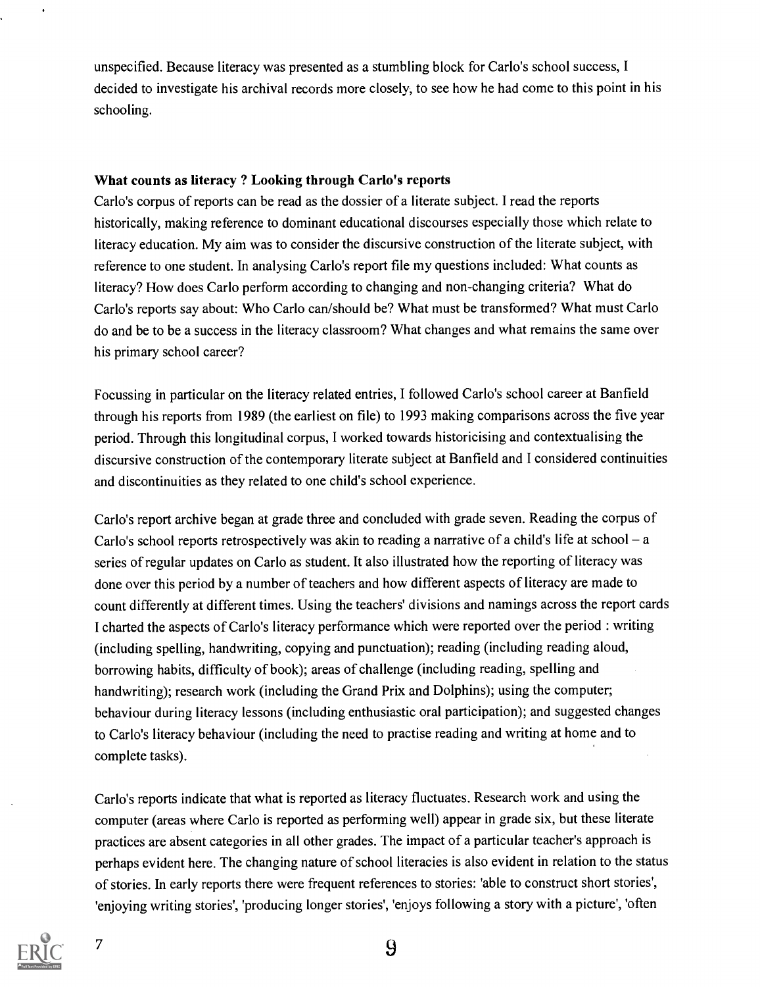unspecified. Because literacy was presented as a stumbling block for Carlo's school success, I decided to investigate his archival records more closely, to see how he had come to this point in his schooling.

#### What counts as literacy ? Looking through Carlo's reports

Carlo's corpus of reports can be read as the dossier of a literate subject. I read the reports historically, making reference to dominant educational discourses especially those which relate to literacy education. My aim was to consider the discursive construction of the literate subject, with reference to one student. In analysing Carlo's report file my questions included: What counts as literacy? How does Carlo perform according to changing and non-changing criteria? What do Carlo's reports say about: Who Carlo can/should be? What must be transformed? What must Carlo do and be to be a success in the literacy classroom? What changes and what remains the same over his primary school career?

Focussing in particular on the literacy related entries, I followed Carlo's school career at Banfield through his reports from 1989 (the earliest on file) to 1993 making comparisons across the five year period. Through this longitudinal corpus, I worked towards historicising and contextualising the discursive construction of the contemporary literate subject at Banfield and I considered continuities and discontinuities as they related to one child's school experience.

Carlo's report archive began at grade three and concluded with grade seven. Reading the corpus of Carlo's school reports retrospectively was akin to reading a narrative of a child's life at school  $-a$ series of regular updates on Carlo as student. It also illustrated how the reporting of literacy was done over this period by a number of teachers and how different aspects of literacy are made to count differently at different times. Using the teachers' divisions and namings across the report cards I charted the aspects of Carlo's literacy performance which were reported over the period : writing (including spelling, handwriting, copying and punctuation); reading (including reading aloud, borrowing habits, difficulty of book); areas of challenge (including reading, spelling and handwriting); research work (including the Grand Prix and Dolphins); using the computer; behaviour during literacy lessons (including enthusiastic oral participation); and suggested changes to Carlo's literacy behaviour (including the need to practise reading and writing at home and to complete tasks).

Carlo's reports indicate that what is reported as literacy fluctuates. Research work and using the computer (areas where Carlo is reported as performing well) appear in grade six, but these literate practices are absent categories in all other grades. The impact of a particular teacher's approach is perhaps evident here. The changing nature of school literacies is also evident in relation to the status of stories. In early reports there were frequent references to stories: 'able to construct short stories', 'enjoying writing stories', 'producing longer stories', 'enjoys following a story with a picture', 'often

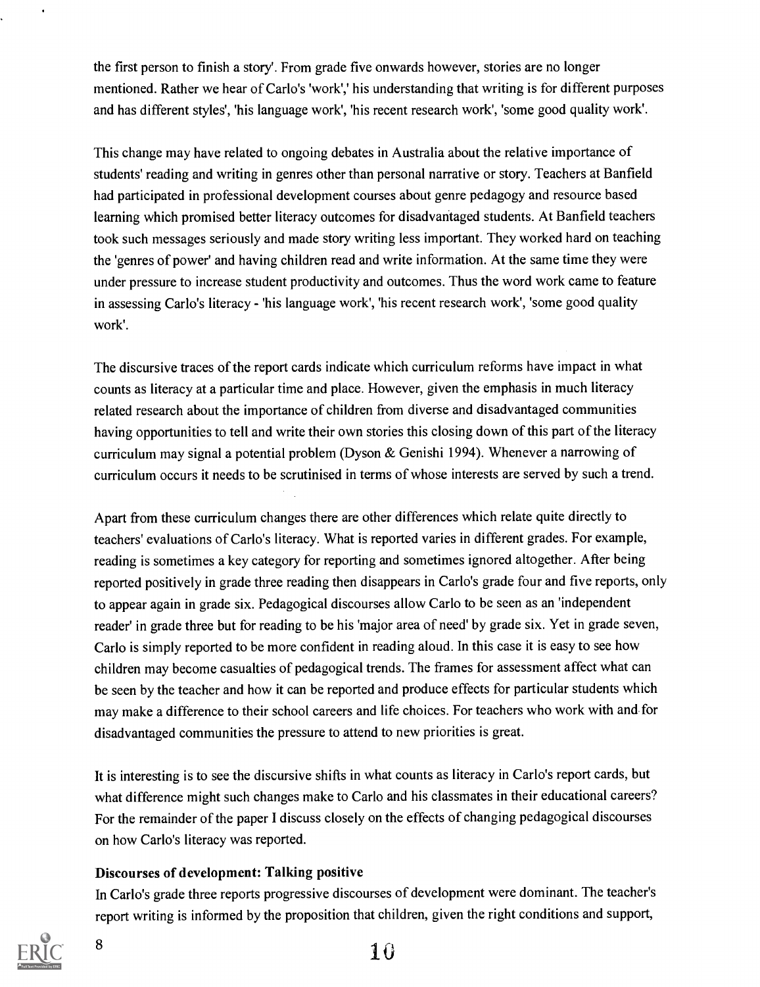the first person to finish a story'. From grade five onwards however, stories are no longer mentioned. Rather we hear of Carlo's 'work',' his understanding that writing is for different purposes and has different styles', 'his language work', 'his recent research work', 'some good quality work'.

This change may have related to ongoing debates in Australia about the relative importance of students' reading and writing in genres other than personal narrative or story. Teachers at Banfield had participated in professional development courses about genre pedagogy and resource based learning which promised better literacy outcomes for disadvaritaged students. At Banfield teachers took such messages seriously and made story writing less important. They worked hard on teaching the 'genres of power' and having children read and write information. At the same time they were under pressure to increase student productivity and outcomes. Thus the word work came to feature in assessing Carlo's literacy - 'his language work', 'his recent research work', 'some good quality work'.

The discursive traces of the report cards indicate which curriculum reforms have impact in what counts as literacy at a particular time and place. However, given the emphasis in much literacy related research about the importance of children from diverse and disadvantaged communities having opportunities to tell and write their own stories this closing down of this part of the literacy curriculum may signal a potential problem (Dyson & Genishi 1994). Whenever a narrowing of curriculum occurs it needs to be scrutinised in terms of whose interests are served by such a trend.

Apart from these curriculum changes there are other differences which relate quite directly to teachers' evaluations of Carlo's literacy. What is reported varies in different grades. For example, reading is sometimes a key category for reporting and sometimes ignored altogether. After being reported positively in grade three reading then disappears in Carlo's grade four and five reports, only to appear again in grade six. Pedagogical discourses allow Carlo to be seen as an 'independent reader' in grade three but for reading to be his 'major area of need' by grade six. Yet in grade seven, Carlo is simply reported to be more confident in reading aloud. In this case it is easy to see how children may become casualties of pedagogical trends. The frames for assessment affect what can be seen by the teacher and how it can be reported and produce effects for particular students which may make a difference to their school careers and life choices. For teachers who work with and for disadvantaged communities the pressure to attend to new priorities is great.

It is interesting is to see the discursive shifts in what counts as literacy in Carlo's report cards, but what difference might such changes make to Carlo and his classmates in their educational careers? For the remainder of the paper I discuss closely on the effects of changing pedagogical discourses on how Carlo's literacy was reported.

### Discourses of development: Talking positive

In Carlo's grade three reports progressive discourses of development were dominant. The teacher's report writing is informed by the proposition that children, given the right conditions and support,



 $\frac{10}{10}$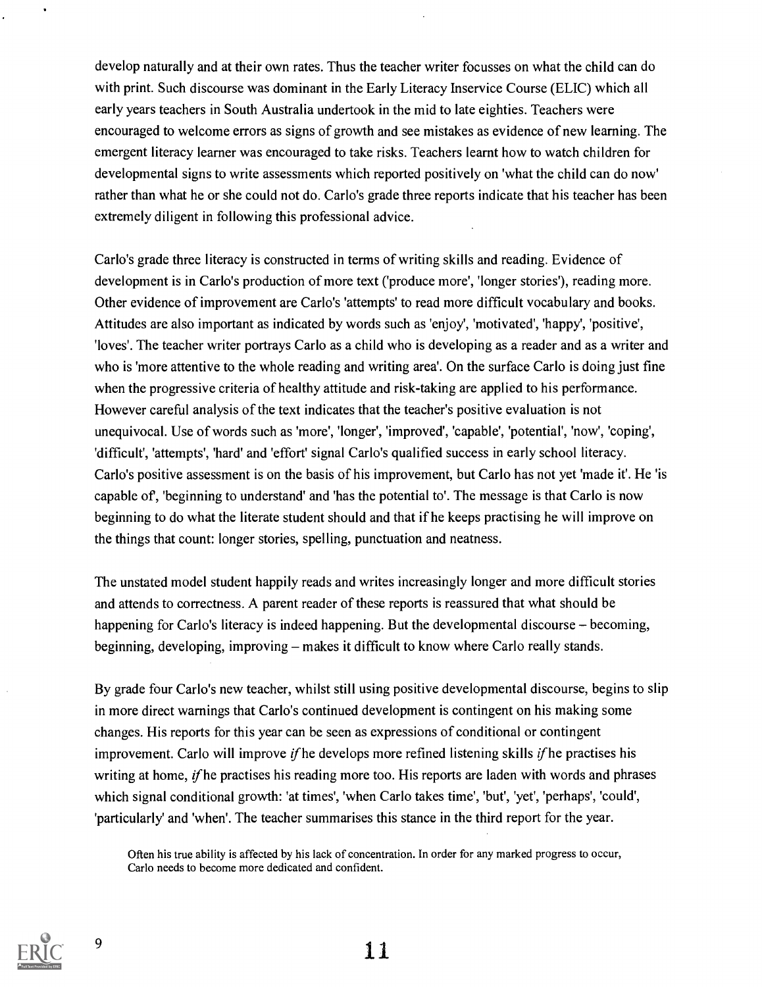develop naturally and at their own rates. Thus the teacher writer focusses on what the child can do with print. Such discourse was dominant in the Early Literacy Inservice Course (ELIC) which all early years teachers in South Australia undertook in the mid to late eighties. Teachers were encouraged to welcome errors as signs of growth and see mistakes as evidence of new learning. The emergent literacy learner was encouraged to take risks. Teachers learnt how to watch children for developmental signs to write assessments which reported positively on 'what the child can do now' rather than what he or she could not do. Carlo's grade three reports indicate that his teacher has been extremely diligent in following this professional advice.

Carlo's grade three literacy is constructed in terms of writing skills and reading. Evidence of development is in Carlo's production of more text ('produce more', 'longer stories'), reading more. Other evidence of improvement are Carlo's 'attempts' to read more difficult vocabulary and books. Attitudes are also important as indicated by words such as 'enjoy', 'motivated', 'happy', 'positive', 'loves'. The teacher writer portrays Carlo as a child who is developing as a reader and as a writer and who is 'more attentive to the whole reading and writing area'. On the surface Carlo is doing just fine when the progressive criteria of healthy attitude and risk-taking are applied to his performance. However careful analysis of the text indicates that the teacher's positive evaluation is not unequivocal. Use of words such as 'more', 'longer', 'improved', 'capable', 'potential', 'now', 'coping', 'difficult', 'attempts', 'hard' and 'effort' signal Carlo's qualified success in early school literacy. Carlo's positive assessment is on the basis of his improvement, but Carlo has not yet 'made it'. He 'is capable of, 'beginning to understand' and 'has the potential to'. The message is that Carlo is now beginning to do what the literate student should and that if he keeps practising he will improve on the things that count: longer stories, spelling, punctuation and neatness.

The unstated model student happily reads and writes increasingly longer and more difficult stories and attends to correctness. A parent reader of these reports is reassured that what should be happening for Carlo's literacy is indeed happening. But the developmental discourse  $-$  becoming, beginning, developing, improving  $-$  makes it difficult to know where Carlo really stands.

By grade four Carlo's new teacher, whilst still using positive developmental discourse, begins to slip in more direct warnings that Carlo's continued development is contingent on his making some changes. His reports for this year can be seen as expressions of conditional or contingent improvement. Carlo will improve *if* he develops more refined listening skills *if* he practises his writing at home, if he practises his reading more too. His reports are laden with words and phrases which signal conditional growth: 'at times', 'when Carlo takes time', 'but', 'yet', 'perhaps', 'could', 'particularly' and 'when'. The teacher summarises this stance in the third report for the year.

Often his true ability is affected by his lack of concentration. In order for any marked progress to occur, Carlo needs to become more dedicated and confident.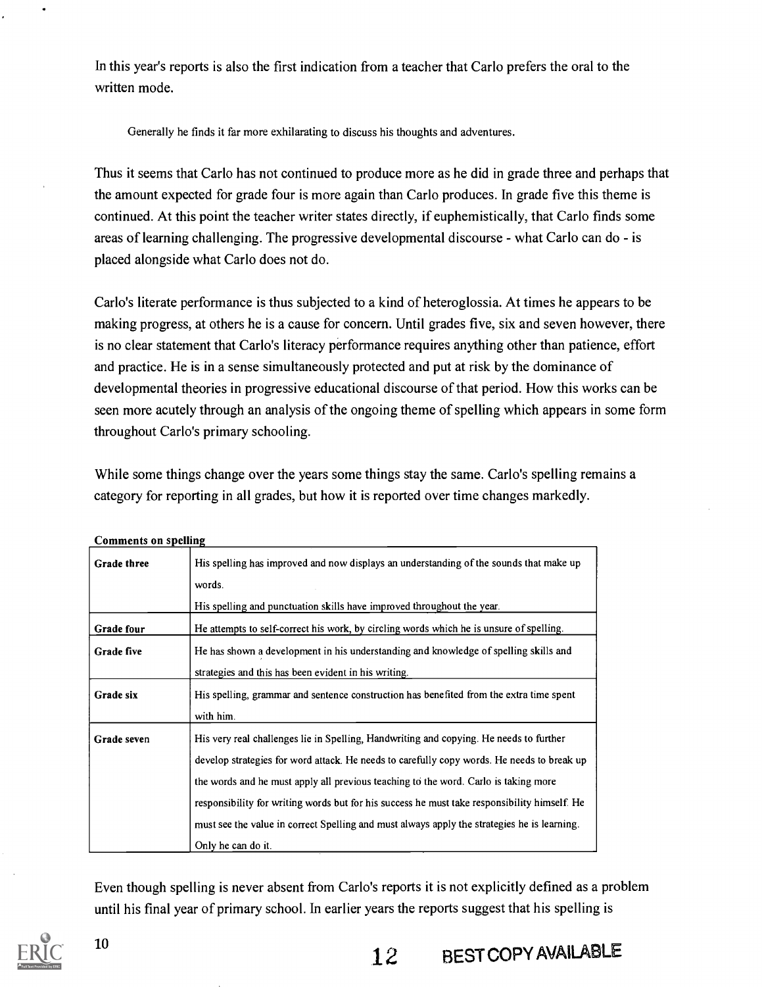In this year's reports is also the first indication from a teacher that Carlo prefers the oral to the written mode.

Generally he finds it far more exhilarating to discuss his thoughts and adventures.

Thus it seems that Carlo has not continued to produce more as he did in grade three and perhaps that the amount expected for grade four is more again than Carlo produces. In grade five this theme is continued. At this point the teacher writer states directly, if euphemistically, that Carlo finds some areas of learning challenging. The progressive developmental discourse - what Carlo can do - is placed alongside what Carlo does not do.

Carlo's literate performance is thus subjected to a kind of heteroglossia. At times he appears to be making progress, at others he is a cause for concern. Until grades five, six and seven however, there is no clear statement that Carlo's literacy performance requires anything other than patience, effort and practice. He is in a sense simultaneously protected and put at risk by the dominance of developmental theories in progressive educational discourse of that period. How this works can be seen more acutely through an analysis of the ongoing theme of spelling which appears in some form throughout Carlo's primary schooling.

While some things change over the years some things stay the same. Carlo's spelling remains a category for reporting in all grades, but how it is reported over time changes markedly.

| <b>Grade three</b> | His spelling has improved and now displays an understanding of the sounds that make up       |
|--------------------|----------------------------------------------------------------------------------------------|
|                    | words.                                                                                       |
|                    | His spelling and punctuation skills have improved throughout the year.                       |
| Grade four         | He attempts to self-correct his work, by circling words which he is unsure of spelling.      |
| Grade five         | He has shown a development in his understanding and knowledge of spelling skills and         |
|                    | strategies and this has been evident in his writing.                                         |
| Grade six          | His spelling, grammar and sentence construction has benefited from the extra time spent      |
|                    | with him.                                                                                    |
| Grade seven        | His very real challenges lie in Spelling, Handwriting and copying. He needs to further       |
|                    | develop strategies for word attack. He needs to carefully copy words. He needs to break up   |
|                    | the words and he must apply all previous teaching to the word. Carlo is taking more          |
|                    | responsibility for writing words but for his success he must take responsibility himself. He |
|                    | must see the value in correct Spelling and must always apply the strategies he is learning.  |
|                    | Only he can do it.                                                                           |

Comments on spelling

Even though spelling is never absent from Carlo's reports it is not explicitly defined as a problem until his final year of primary school. In earlier years the reports suggest that his spelling is



 $\bullet$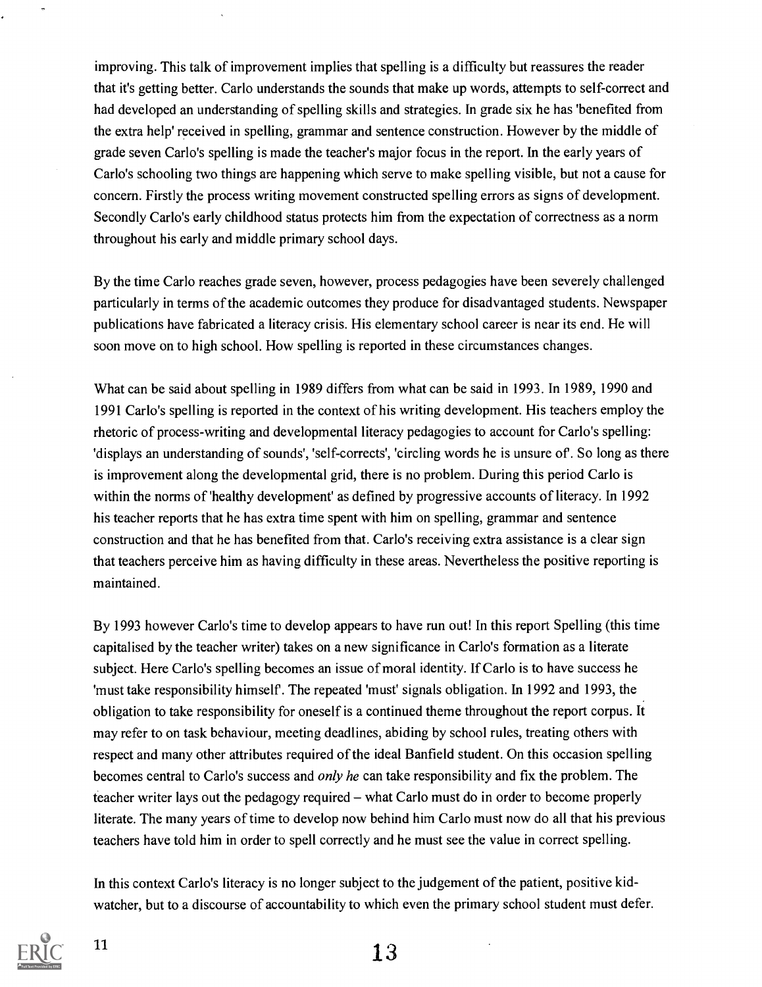improving. This talk of improvement implies that spelling is a difficulty but reassures the reader that it's getting better. Carlo understands the sounds that make up words, attempts to self-correct and had developed an understanding of spelling skills and strategies. In grade six he has 'benefited from the extra help' received in spelling, grammar and sentence construction. However by the middle of grade seven Carlo's spelling is made the teacher's major focus in the report. In the early years of Carlo's schooling two things are happening which serve to make spelling visible, but not a cause for concern. Firstly the process writing movement constructed spelling errors as signs of development. Secondly Carlo's early childhood status protects him from the expectation of correctness as a norm throughout his early and middle primary school days.

By the time Carlo reaches grade seven, however, process pedagogies have been severely challenged particularly in terms of the academic outcomes they produce for disadvantaged students. Newspaper publications have fabricated a literacy crisis. His elementary school career is near its end. He will soon move on to high school. How spelling is reported in these circumstances changes.

What can be said about spelling in 1989 differs from what can be said in 1993. In 1989, 1990 and 1991 Carlo's spelling is reported in the context of his writing development. His teachers employ the rhetoric of process-writing and developmental literacy pedagogies to account for Carlo's spelling: 'displays an understanding of sounds', 'self-corrects', 'circling words he is unsure of. So long as there is improvement along the developmental grid, there is no problem. During this period Carlo is within the norms of 'healthy development' as defined by progressive accounts of literacy. In 1992 his teacher reports that he has extra time spent with him on spelling, grammar and sentence construction and that he has benefited from that. Carlo's receiving extra assistance is a clear sign that teachers perceive him as having difficulty in these areas. Nevertheless the positive reporting is maintained.

By 1993 however Carlo's time to develop appears to have run out! In this report Spelling (this time capitalised by the teacher writer) takes on a new significance in Carlo's formation as a literate subject. Here Carlo's spelling becomes an issue of moral identity. If Carlo is to have success he 'must take responsibility himself. The repeated 'must' signals obligation. In 1992 and 1993, the obligation to take responsibility for oneself is a continued theme throughout the report corpus. It may refer to on task behaviour, meeting deadlines, abiding by school rules, treating others with respect and many other attributes required of the ideal Banfield student. On this occasion spelling becomes central to Carlo's success and only he can take responsibility and fix the problem. The teacher writer lays out the pedagogy required – what Carlo must do in order to become properly literate. The many years of time to develop now behind him Carlo must now do all that his previous teachers have told him in order to spell correctly and he must see the value in correct spelling.

In this context Carlo's literacy is no longer subject to the judgement of the patient, positive kidwatcher, but to a discourse of accountability to which even the primary school student must defer.

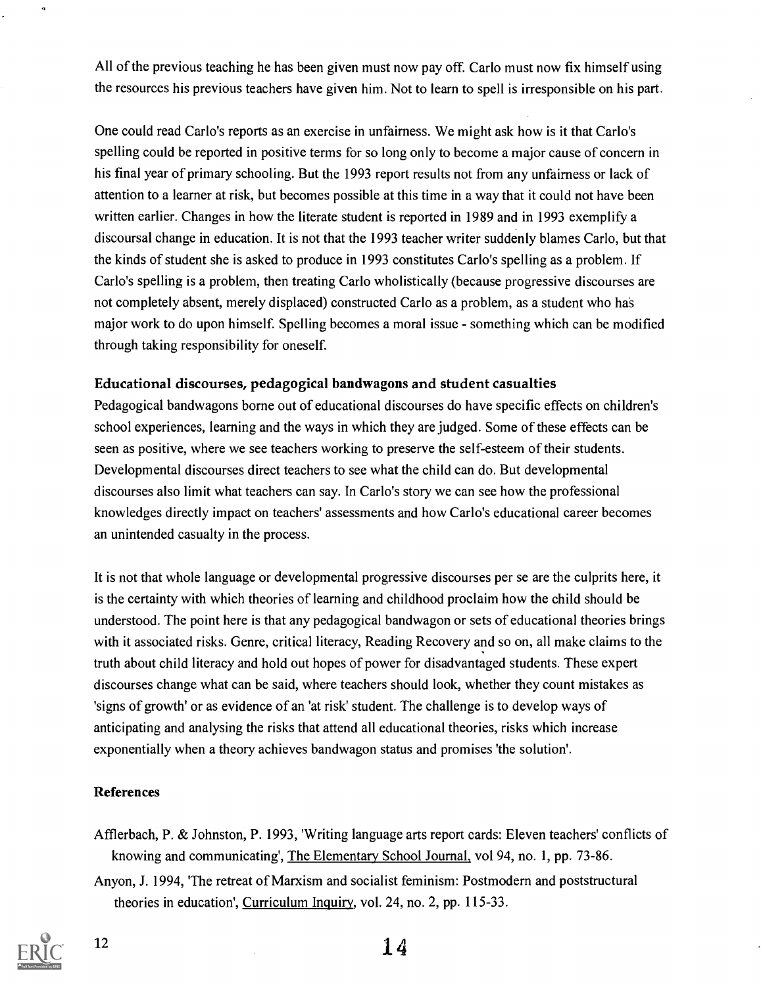All of the previous teaching he has been given must now pay off. Carlo must now fix himself using the resources his previous teachers have given him. Not to learn to spell is irresponsible on his part.

One could read Carlo's reports as an exercise in unfairness. We might ask how is it that Carlo's spelling could be reported in positive terms for so long only to become a major cause of concern in his final year of primary schooling. But the 1993 report results not from any unfairness or lack of attention to a learner at risk, but becomes possible at this time in a way that it could not have been written earlier. Changes in how the literate student is reported in 1989 and in 1993 exemplify a discoursal change in education. It is not that the 1993 teacher writer suddenly blames Carlo, but that the kinds of student she is asked to produce in 1993 constitutes Carlo's spelling as a problem. If Carlo's spelling is a problem, then treating Carlo wholistically (because progressive discourses are not completely absent, merely displaced) constructed Carlo as a problem, as a student who ha's major work to do upon himself. Spelling becomes a moral issue - something which can be modified through taking responsibility for oneself

#### Educational discourses, pedagogical bandwagons and student casualties

Pedagogical bandwagons borne out of educational discourses do have specific effects on children's school experiences, learning and the ways in which they are judged. Some of these effects can be seen as positive, where we see teachers working to preserve the self-esteem of their students. Developmental discourses direct teachers to see what the child can do. But developmental discourses also limit what teachers can say. In Carlo's story we can see how the professional knowledges directly impact on teachers' assessments and how Carlo's educational career becomes an unintended casualty in the process.

It is not that whole language or developmental progressive discourses per se are the culprits here, it is the certainty with which theories of learning and childhood proclaim how the child should be understood. The point here is that any pedagogical bandwagon or sets of educational theories brings with it associated risks. Genre, critical literacy, Reading Recovery and so on, all make claims to the truth about child literacy and hold out hopes of power for disadvantaged students. These expert discourses change what can be said, where teachers should look, whether they count mistakes as 'signs of growth' or as evidence of an 'at risk' student. The challenge is to develop ways of anticipating and analysing the risks that attend all educational theories, risks which increase exponentially when a theory achieves bandwagon status and promises 'the solution'.

#### References

- Afflerbach, P. & Johnston, P. 1993, 'Writing language arts report cards: Eleven teachers' conflicts of knowing and communicating', The Elementary School Journal, vol 94, no. 1, pp. 73-86.
- Anyon, J. 1994, 'The retreat of Marxism and socialist feminism: Postmodern and poststructural theories in education', Curriculum Inquiry, vol. 24, no. 2, pp. 115-33.



 $\mathbf{a}$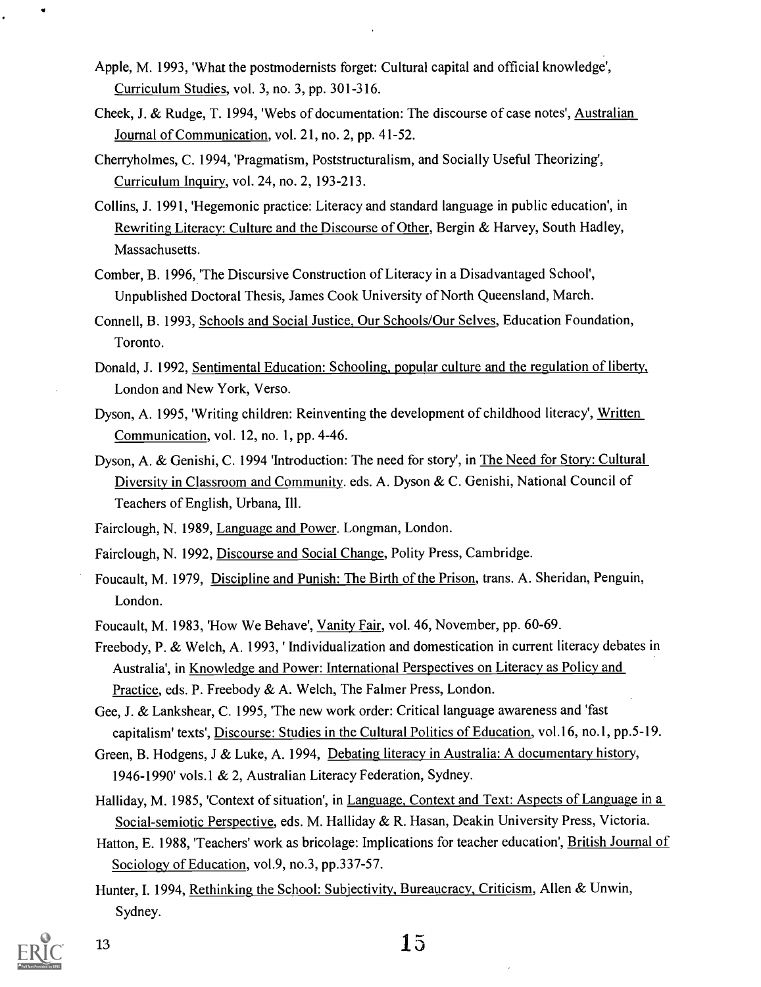- Apple, M. 1993, 'What the postmodernists forget: Cultural capital and official knowledge', Curriculum Studies, vol. 3, no. 3, pp. 301-316.
- Cheek, J. & Rudge, T. 1994, 'Webs of documentation: The discourse of case notes', Australian Journal of Communication, vol. 21, no. 2, pp. 41-52.
- Cherryholmes, C. 1994, 'Pragmatism, Poststructuralism, and Socially Useful Theorizing', Curriculum Inquiry, vol. 24, no. 2, 193-213.
- Collins, J. 1991, 'Hegemonic practice: Literacy and standard language in public education', in Rewriting Literacy: Culture and the Discourse of Other, Bergin & Harvey, South Hadley, Massachusetts.
- Comber, B. 1996, 'The Discursive Construction of Literacy in a Disadvantaged School', Unpublished Doctoral Thesis, James Cook University of North Queensland, March.
- Connell, B. 1993, Schools and Social Justice, Our Schools/Our Selves, Education Foundation, Toronto.
- Donald, J. 1992, Sentimental Education: Schooling, popular culture and the regulation of liberty, London and New York, Verso.
- Dyson, A. 1995, 'Writing children: Reinventing the development of childhood literacy', Written Communication, vol. 12, no. 1, pp. 4-46.
- Dyson, A. & Genishi, C. 1994 'Introduction: The need for story', in The Need for Story: Cultural Diversity in Classroom and Community. eds. A. Dyson & C. Genishi, National Council of Teachers of English, Urbana, Ill.
- Fairclough, N. 1989, Language and Power. Longman, London.
- Fairclough, N. 1992, Discourse and Social Change, Polity Press, Cambridge.
- Foucault, M. 1979, Discipline and Punish: The Birth of the Prison, trans. A. Sheridan, Penguin, London.
- Foucault, M. 1983, 'How We Behave', Vanity Fair, vol. 46, November, pp. 60-69.
- Freebody, P. & Welch, A. 1993, ' Individualization and domestication in current literacy debates in Australia', in Knowledge and Power: International Perspectives on Literacy as Policy and Practice, eds. P. Freebody & A. Welch, The Falmer Press, London.
- Gee, J. & Lankshear, C. 1995, 'The new work order: Critical language awareness and 'fast capitalism' texts', Discourse: Studies in the Cultural Politics of Education, vol.16, no.1, pp.5-19.
- Green, B. Hodgens, J & Luke, A. 1994, Debating literacy in Australia: A documentary history, 1946-1990' vols.1 & 2, Australian Literacy Federation, Sydney.
- Halliday, M. 1985, 'Context of situation', in Language, Context and Text: Aspects of Language in a Social-semiotic Perspective, eds. M. Halliday & R. Hasan, Deakin University Press, Victoria.
- Hatton, E. 1988, 'Teachers' work as bricolage: Implications for teacher education', British Journal of Sociology of Education, vol.9, no.3, pp.337-57.
- Hunter, I. 1994, Rethinking the School: Subjectivity, Bureaucracy, Criticism, Allen & Unwin, Sydney.

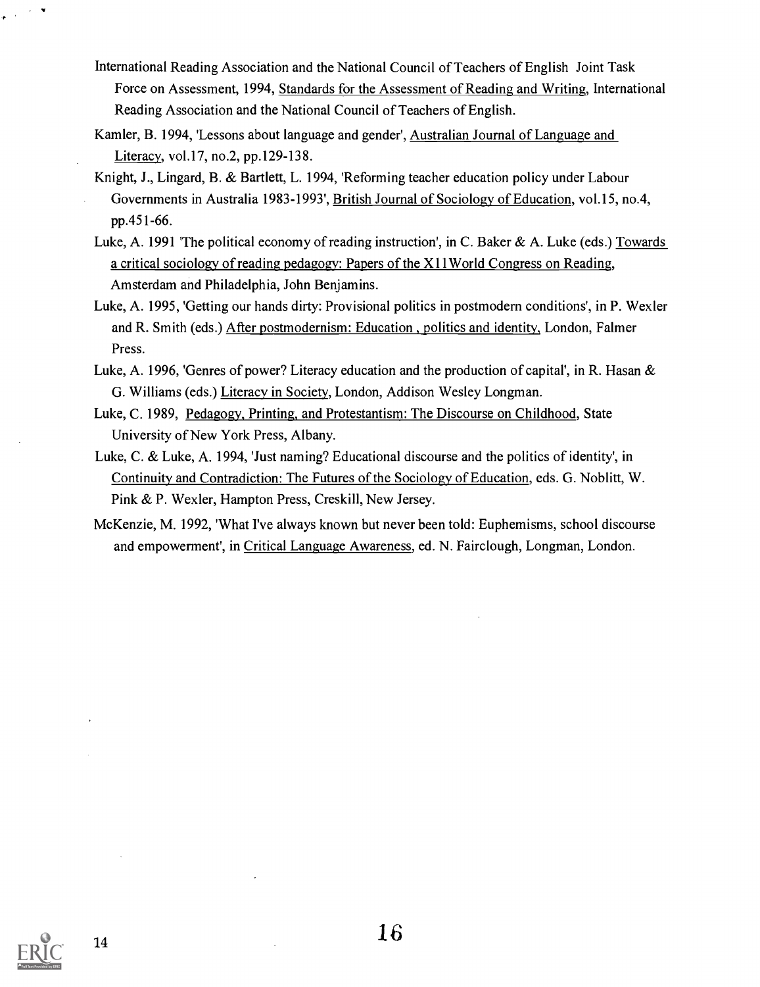- International Reading Association and the National Council of Teachers of English Joint Task Force on Assessment, 1994, Standards for the Assessment of Reading and Writing, International Reading Association and the National Council of Teachers of English.
- Kamler, B. 1994, 'Lessons about language and gender', Australian Journal of Language and Literacy, vol.17, no.2, pp.129-138.
- Knight, J., Lingard, B. & Bartlett, L. 1994, 'Reforming teacher education policy under Labour Governments in Australia 1983-1993', British Journal of Sociology of Education, vol.15, no.4, pp.451-66.
- Luke, A. 1991 'The political economy of reading instruction', in C. Baker & A. Luke (eds.) Towards a critical sociology of reading pedagogy: Papers of the Xl1World Congress on Reading, Amsterdam and Philadelphia, John Benjamins.
- Luke, A. 1995, 'Getting our hands dirty: Provisional politics in postmodern conditions', in P. Wexler and R. Smith (eds.) After postmodernism: Education , politics and identity, London, Falmer Press.
- Luke, A. 1996, 'Genres of power? Literacy education and the production of capital', in R. Hasan & G. Williams (eds.) Literacy in Society, London, Addison Wesley Longman.
- Luke, C. 1989, Pedagogy, Printing, and Protestantism: The Discourse on Childhood, State University of New York Press, Albany.
- Luke, C. & Luke, A. 1994, 'Just naming? Educational discourse and the politics of identity', in Continuity and Contradiction: The Futures of the Sociology of Education, eds. G. Noblitt, W. Pink & P. Wexler, Hampton Press, Creskill, New Jersey.
- McKenzie, M. 1992, 'What I've always known but never been told: Euphemisms, school discourse and empowerment', in Critical Language Awareness, ed. N. Fairclough, Longman, London.

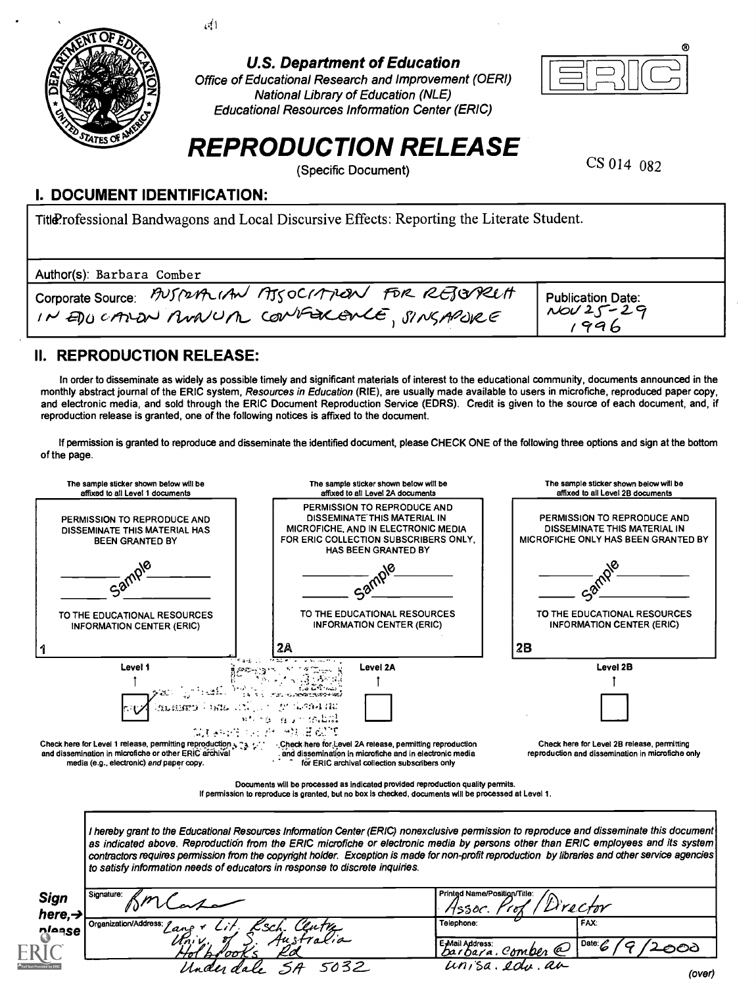ब्री



U.S. Department of Education

Office of Educational Research and Improvement (OERI) National Library of Education (NLE) Educational Resources Information Center (ERIC)



# REPRODUCTION RELEASE

(Specific Document)

CS 014 082

### I. DOCUMENT IDENTIFICATION:

TitleProfessional Bandwagons and Local Discursive Effects: Reporting the Literate Student.

Author(s): Barbara Comber

Corporate Source: BUS(219-1AV ATSOCIATION FOR REJORRENT | Publication Date:  $1/4$  EDU CANON AVANUA CONFORCENCE, SINGAPURE

 $N0V25 - 29$ / ?q 6

### II. REPRODUCTION RELEASE:

In order to disseminate as widely as possible timely and significant materials of interest to the educational community, documents announced in the monthly abstract journal of the ERIC system, Resources in Education (RIE), are usually made available to users in microfiche, reproduced paper copy, and electronic media, and sold through the ERIC Document Reproduction Service (EDRS). Credit is given to the source of each document, and, if reproduction release is granted, one of the following notices is affixed to the document.

If permission is granted to reproduce and disseminate the identified document, please CHECK ONE of the following three options and sign at the bottom of the page.

| affixed to all Level 1 documents                                                                                                                                        | The sample sticker shown below will be<br>affixed to all Level 2A documents                                                                                                                                                                                                                                                                                                                                                                                                                                       | The sample sticker shown below will be<br>affixed to all Level 2B documents                        |
|-------------------------------------------------------------------------------------------------------------------------------------------------------------------------|-------------------------------------------------------------------------------------------------------------------------------------------------------------------------------------------------------------------------------------------------------------------------------------------------------------------------------------------------------------------------------------------------------------------------------------------------------------------------------------------------------------------|----------------------------------------------------------------------------------------------------|
| PERMISSION TO REPRODUCE AND<br>DISSEMINATE THIS MATERIAL HAS<br><b>BEEN GRANTED BY</b>                                                                                  | PERMISSION TO REPRODUCE AND<br>DISSEMINATE THIS MATERIAL IN<br>MICROFICHE, AND IN ELECTRONIC MEDIA<br>FOR ERIC COLLECTION SUBSCRIBERS ONLY.<br><b>HAS BEEN GRANTED BY</b>                                                                                                                                                                                                                                                                                                                                         | PERMISSION TO REPRODUCE AND<br>DISSEMINATE THIS MATERIAL IN<br>MICROFICHE ONLY HAS BEEN GRANTED BY |
|                                                                                                                                                                         |                                                                                                                                                                                                                                                                                                                                                                                                                                                                                                                   |                                                                                                    |
| TO THE EDUCATIONAL RESOURCES<br><b>INFORMATION CENTER (ERIC)</b>                                                                                                        | TO THE EDUCATIONAL RESOURCES<br><b>INFORMATION CENTER (ERIC)</b>                                                                                                                                                                                                                                                                                                                                                                                                                                                  | TO THE EDUCATIONAL RESOURCES<br><b>INFORMATION CENTER (ERIC)</b>                                   |
|                                                                                                                                                                         |                                                                                                                                                                                                                                                                                                                                                                                                                                                                                                                   | 28                                                                                                 |
| Level 1                                                                                                                                                                 | Level 2A<br>앞에 나와 그는 사람에 많은 것이다                                                                                                                                                                                                                                                                                                                                                                                                                                                                                   | Level 2B                                                                                           |
| Check here for Level 1 release, permitting reproduction 3 73 5 17<br>and dissemination in microfiche or other ERIC archival<br>media (e.g., electronic) and paper copy. | Check here for Level 2A release, permitting reproduction<br>and dissemination in microfiche and in electronic media<br>for ERIC archival collection subscribers only                                                                                                                                                                                                                                                                                                                                              | Check here for Level 2B release, permitting<br>reproduction and dissemination in microfiche only   |
|                                                                                                                                                                         |                                                                                                                                                                                                                                                                                                                                                                                                                                                                                                                   |                                                                                                    |
|                                                                                                                                                                         | Documents will be processed as indicated provided reproduction quality permits.<br>If permission to reproduce is granted, but no box is checked, documents will be processed at Level 1.                                                                                                                                                                                                                                                                                                                          |                                                                                                    |
|                                                                                                                                                                         | I hereby grant to the Educational Resources Information Center (ERIC) nonexclusive permission to reproduce and disseminate this document<br>as indicated above. Reproduction from the ERIC microfiche or electronic media by persons other than ERIC employees and its system<br>contractors requires permission from the copyright holder. Exception is made for non-profit reproduction by libraries and other service agencies<br>to satisfy information needs of educators in response to discrete inquiries. |                                                                                                    |
| Signature:                                                                                                                                                              | Printed Name/Position/Title:<br>Hssoc.                                                                                                                                                                                                                                                                                                                                                                                                                                                                            | Drector                                                                                            |
| <b>Sign</b><br>here. $\rightarrow$<br>Organization/Address:<br>dease                                                                                                    | Telephone:<br>E Mail Address:                                                                                                                                                                                                                                                                                                                                                                                                                                                                                     | FAX:<br>Date: $\mathscr{L}$<br>barbara. Comber                                                     |